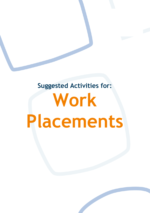# **Suggested Activities for: Work Placements**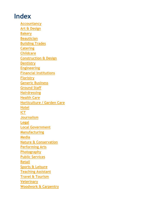#### **Index**

**[Accountancy](#page-2-0) [Art & Design](#page-3-0) [Bakery](#page-4-0) [Beautician](#page-5-0) [Building Trades](#page-6-0) [Catering](#page-7-0) [Childcare](#page-8-0) [Construction & Design](#page-9-0) [Dentistry](#page-10-0) [Engineering](#page-11-0) [Financial Institutions](#page-12-0) [Floristry](#page-13-0) [Generic Business](#page-14-0) [Ground Staff](#page-15-0) [Hairdressing](#page-16-0) [Health Care](#page-16-0) [Horticulture / Garden Care](#page-18-0) [Hotel](#page-19-0) [ICT](#page-20-0) [Journalism](#page-21-0) [Legal](#page-22-0) [Local Government](#page-23-0) [Manufacturing](#page-24-0) [Media](#page-25-0) [Nature & Conservation](#page-27-0) [Performing Arts](#page-28-0) [Photography](#page-29-0) Public [Services](#page-30-0) [Retail](#page-32-0) [Sports & Leisure](#page-33-0) [Teaching Assistant](#page-34-0) [Travel & Tourism](#page-35-0) [Veterinary](#page-36-0) [Woodwork & Carpentry](#page-37-0)**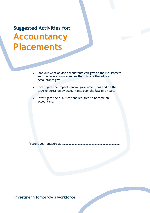<span id="page-2-0"></span>**Suggested Activities for: Accountancy Placements**

- Find out what advice accountants can give to their customers and the regulations/agencies that dictate the advice accountants give.
- Investigate the impact central government has had on the tasks undertaken by accountants over the last five years.
- Investigate the qualifications required to become an accountant.

Present your answers as ……………………………………………………………………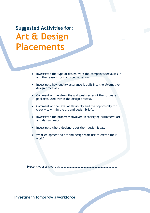<span id="page-3-0"></span>**Suggested Activities for: Art & Design Placements**

- Investigate the type of design work the company specialises in and the reasons for such specialisation.
- Investigate how quality assurance is built into the alternative design processes.
- Comment on the strengths and weaknesses of the software packages used within the design process.
- Comment on the level of flexibility and the opportunity for creativity within the art and design briefs.
- Investigate the processes involved in satisfying customers' art and design needs.
- Investigate where designers get their design ideas.
- What equipment do art and design staff use to create their work?

Present your answers as ……………………………………………………………………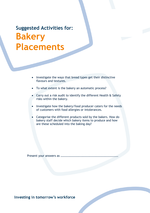# <span id="page-4-0"></span>**Suggested Activities for: Bakery Placements**

- Investigate the ways that bread types get their distinctive flavours and textures.
- To what extent is the bakery an automatic process?
- Carry out a risk audit to identify the different Health & Safety risks within the bakery.
- Investigate how the bakery/food producer caters for the needs of customers with food allergies or intolerances.
- Categorise the different products sold by the bakers. How do bakery staff decide which bakery items to produce and how are these scheduled into the baking day?

Present your answers as ……………………………………………………………………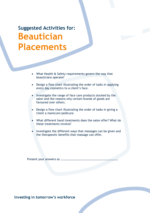<span id="page-5-0"></span>**Suggested Activities for: Beautician Placements**

- What Health & Safety requirements govern the way that beauticians operate?
- Design a flow chart illustrating the order of tasks in applying every day cosmetics to a client's face.
- Investigate the range of face care products stocked by the salon and the reasons why certain brands of goods are favoured over others.
- Design a flow chart illustrating the order of tasks in giving a client a manicure/pedicure.
- What different hand treatments does the salon offer? What do these treatments involve?
- Investigate the different ways that massages can be given and the therapeutic benefits that massage can offer.

Present your answers as ……………………………………………………………………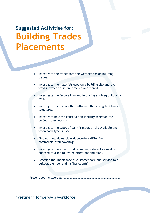<span id="page-6-0"></span>**Suggested Activities for: Building Trades Placements**

- Investigate the effect that the weather has on building trades.
- Investigate the materials used on a building site and the ways in which these are ordered and stored.
- Investigate the factors involved in pricing a job eg building a wall.
- Investigate the factors that influence the strength of brick structures.
- Investigate how the construction industry schedule the projects they work on.
- Investigate the types of paint/timber/bricks available and when each type is used.
- Find out how domestic wall coverings differ from commercial wall coverings.
- Investigate the extent that plumbing is detective work as opposed to a job following directions and plans.
- Describe the importance of customer care and service to a builder/plumber and his/her clients?

Present your answers as ……………………………………………………………………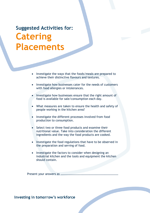<span id="page-7-0"></span>**Suggested Activities for: Catering Placements**

- Investigate the ways that the foods/meals are prepared to achieve their distinctive flavours and textures.
- Investigate how businesses cater for the needs of customers with food allergies or intolerances.
- Investigate how businesses ensure that the right amount of food is available for sale/consumption each day.
- What measures are taken to ensure the health and safety of people working in the kitchen area?
- Investigate the different processes involved from food production to consumption.
- Select two or three food products and examine their nutritional value. Take into consideration the different ingredients and the way the food products are cooked.
- Investigate the food regulations that have to be observed in the preparation and serving of food.
- Investigate the factors to consider when designing an industrial kitchen and the tools and equipment the kitchen should contain.

Present your answers as ……………………………………………………………………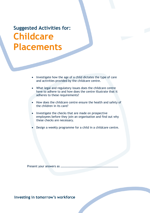# <span id="page-8-0"></span>**Suggested Activities for: Childcare Placements**

- Investigate how the age of a child dictates the type of care and activities provided by the childcare centre.
- What legal and regulatory issues does the childcare centre have to adhere to and how does the centre illustrate that it adheres to these requirements?
- How does the childcare centre ensure the health and safety of the children in its care?
- Investigate the checks that are made on prospective employees before they join an organisation and find out why these checks are necessary.
- Design a weekly programme for a child in a childcare centre.

Present your answers as ……………………………………………………………………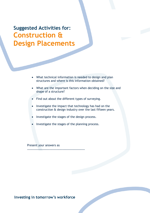<span id="page-9-0"></span>**Suggested Activities for: Construction & Design Placements** 

- What technical information is needed to design and plan structures and where is this information obtained?
- What are the important factors when deciding on the size and shape of a structure?
- Find out about the different types of surveying.
- Investigate the impact that technology has had on the construction & design industry over the last fifteen years.
- Investigate the stages of the design process.
- Investigate the stages of the planning process.

Present your answers as

……………………………………………………………………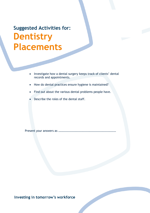# <span id="page-10-0"></span>**Suggested Activities for: Dentistry Placements**

- Investigate how a dental surgery keeps track of clients' dental records and appointments.
- How do dental practices ensure hygiene is maintained?
- Find out about the various dental problems people have.
- Describe the roles of the dental staff.

Present your answers as ……………………………………………………………………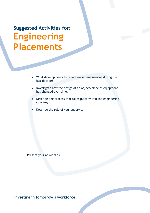# <span id="page-11-0"></span>**Suggested Activities for: Engineering Placements**

- What developments have influenced engineering during the last decade?
- Investigate how the design of an object/piece of equipment has changed over time.
- Describe one process that takes place within the engineering company.
- Describe the role of your supervisor.

Present your answers as ……………………………………………………………………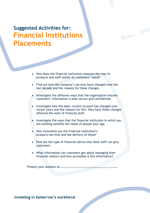#### <span id="page-12-0"></span>**Suggested Activities for: Financial Institutions Placements**

- How does the financial institution measure the way its products and staff satisfy its customers' needs?
- Find out how the company's services have changed over the last decade and the reasons for these changes.
- Investigate the different ways that the organisation ensures customers' information is kept secure and confidential.
- Investigate how the basic current account has changed over recent years and the reasons for this. How have these changes affected the work of financial staff.
- Investigate the ways that the financial institution in which you are working satisfies the needs of people your age.
- How innovative are the financial institution's products/services and the delivery of these?
- Find out the type of financial advice that bank staff can give customers.
- What information can customers get about managing their financial matters and how accessible is this information?

Present your answers as ……………………………………………………………………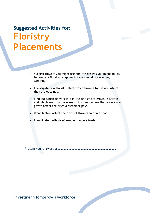# <span id="page-13-0"></span>**Suggested Activities for: Floristry Placements**

- Suggest flowers you might use and the designs you might follow to create a floral arrangement for a special occasion eg wedding.
- Investigate how florists select which flowers to use and where they are obtained.
- Find out which flowers sold in the florists are grown in Britain and which are grown overseas. How does where the flowers are grown affect the price a customer pays?
- What factors affect the price of flowers sold in a shop?
- Investigate methods of keeping flowers fresh.

Present your answers as ……………………………………………………………………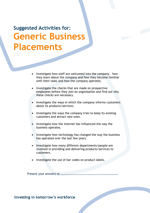<span id="page-14-0"></span>**Suggested Activities for: Generic Business Placements**

- Investigate how staff are welcomed into the company how they learn about the company and how they become familiar with their tasks and how the company operates.
- Investigate the checks that are made on prospective employees before they join an organisation and find out why these checks are necessary.
- Investigate the ways in which the company informs customers about its products/services.
- Investigate the ways the company tries to keep its existing customers and attract new ones.
- Investigate how the internet has influenced the way the business operates.
- Investigate how technology has changed the way the business has operated over the last few years.
- Investigate how many different departments/people are involved in providing and delivering products/services to customers.
- Investigate the use of bar codes on product labels.

Present your answers as ……………………………………………………………………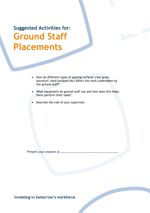<span id="page-15-0"></span>**Suggested Activities for: Ground Staff Placements**

- How do different types of playing surfaces (real grass, Astroturf, hard surfaces etc) affect the work undertaken by the ground staff?
- What equipment do ground staff use and how does this helps them perform their tasks?
- Describe the role of your supervisor.

Present your answers as ……………………………………………………………………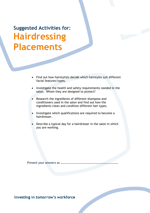<span id="page-16-0"></span>**Suggested Activities for: Hairdressing Placements**

- Find out how hairstylists decide which hairstyles suit different facial features/types.
- Investigate the health and safety requirements needed in the salon. Whom they are designed to protect?
- Research the ingredients of different shampoos and conditioners used in the salon and find out how the ingredients clean and condition different hair types.
- Investigate which qualifications are required to become a hairdresser.
- Describe a typical day for a hairdresser in the salon in which you are working.

Present your answers as ……………………………………………………………………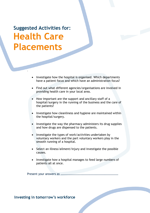**Suggested Activities for: Health Care Placements**

.

- Investigate how the hospital is organised. Which departments have a patient focus and which have an administration focus?
- Find out what different agencies/organisations are involved in providing health care in your local area.
- How important are the support and ancillary staff of a hospital/surgery in the running of the business and the care of the patients?
- Investigate how cleanliness and hygiene are maintained within the hospital/surgery.
- Investigate the way the pharmacy administers its drug supplies and how drugs are dispensed to the patients.
- Investigate the types of work/activities undertaken by voluntary workers and the part voluntary workers play in the smooth running of a hospital.
- Select an illness/ailment/injury and investigate the possible causes.
- Investigate how a hospital manages to feed large numbers of patients all at once.

Present your answers as ……………………………………………………………………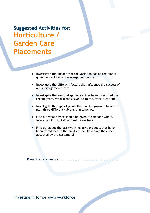<span id="page-18-0"></span>**Suggested Activities for: Horticulture / Garden Care Placements** 

- Investigate the impact that soil variation has on the plants grown and sold at a nursery/garden centre.
- Investigate the different factors that influence the success of a nursery/garden centre.
- Investigate the way that garden centres have diversified over recent years. What trends have led to this diversification?
- Investigate the type of plants that can be grown in tubs and plan three different tub planting schemes.
- Find out what advice should be given to someone who is interested in maintaining neat flowerbeds.
- Find out about the last two innovative products that have been introduced to the product line. How have they been accepted by the customers?

Present your answers as ……………………………………………………………………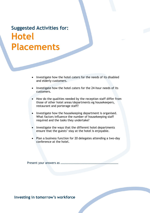#### <span id="page-19-0"></span>**Suggested Activities for: Hotel Placements**

- Investigate how the hotel caters for the needs of its disabled and elderly customers.
- Investigate how the hotel caters for the 24-hour needs of its customers.
- How do the qualities needed by the reception staff differ from those of other hotel areas/departments eg housekeepers, restaurant and porterage staff?
- Investigate how the housekeeping department is organised. What factors influence the number of housekeeping staff required and the tasks they undertake?
- Investigate the ways that the different hotel departments ensure that the guests' stay at the hotel is enjoyable.
- Plan a business function for 20 delegates attending a two-day conference at the hotel.

Present your answers as ……………………………………………………………………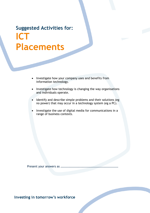#### <span id="page-20-0"></span>**Suggested Activities for: ICT Placements**

- Investigate how your company uses and benefits from information technology.
- Investigate how technology is changing the way organisations and individuals operate.
- Identify and describe simple problems and their solutions (eg no power) that may occur in a technology system (eg a PC).
- Investigate the use of digital media for communications in a range of business contexts.

Present your answers as ……………………………………………………………………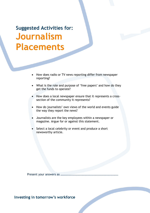<span id="page-21-0"></span>**Suggested Activities for: Journalism Placements**

- How does radio or TV news reporting differ from newspaper reporting?
- What is the role and purpose of 'free papers' and how do they get the funds to operate?
- How does a local newspaper ensure that it represents a crosssection of the community it represents?
- How do journalists' own views of the world and events guide the way they report the news?
- Journalists are the key employees within a newspaper or magazine. Argue for or against this statement.
- Select a local celebrity or event and produce a short newsworthy article.

Present your answers as ……………………………………………………………………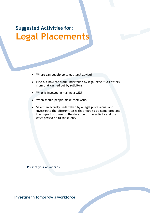# <span id="page-22-0"></span>**Suggested Activities for: Legal Placements**

- Where can people go to get legal advice?
- Find out how the work undertaken by legal executives differs from that carried out by solicitors.
- What is involved in making a will?
- When should people make their wills?
- Select an activity undertaken by a legal professional and investigate the different tasks that need to be completed and the impact of these on the duration of the activity and the costs passed on to the client.

Present your answers as ……………………………………………………………………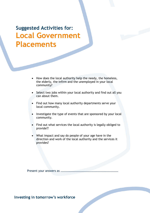<span id="page-23-0"></span>**Suggested Activities for: Local Government Placements** 

- How does the local authority help the needy, the homeless, the elderly, the infirm and the unemployed in your local community?
- Select two jobs within your local authority and find out all you can about them.
- Find out how many local authority departments serve your local community.
- Investigate the type of events that are sponsored by your local community.
- Find out what services the local authority is legally obliged to provide??
- What impact and say do people of your age have in the direction and work of the local authority and the services it provides?

Present your answers as ……………………………………………………………………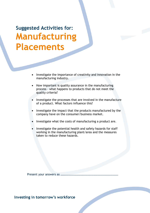<span id="page-24-0"></span>**Suggested Activities for: Manufacturing Placements**

- Investigate the importance of creativity and innovation in the manufacturing industry.
- How important is quality assurance in the manufacturing process – what happens to products that do not meet the quality criteria?
- Investigate the processes that are involved in the manufacture of a product. What factors influence this?
- Investigate the impact that the products manufactured by the company have on the consumer/business market.
- Investigate what the costs of manufacturing a product are.
- Investigate the potential health and safety hazards for staff working in the manufacturing plant/area and the measures taken to reduce these hazards.

Present your answers as ……………………………………………………………………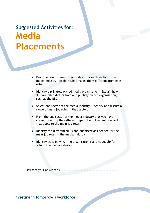#### <span id="page-25-0"></span>**Suggested Activities for: Media Placements**

- Describe two different organisations for each sector of the media industry. Explain what makes them different from each other.
- Identify a privately owned media organisation. Explain how its ownership differs from one publicly owned organisation, such as the BBC.
- Select one sector of the media industry. Identify and discuss a range of main job roles in that sector.
- From the one sector of the media industry that you have chosen, identify the different types of employment contracts that apply to the main job roles.
- Identify the different skills and qualifications needed for the main job roles in the media industry.
- Identify ways in which the organisation recruits people for jobs in the media industry.

Present your answers as ……………………………………………………………………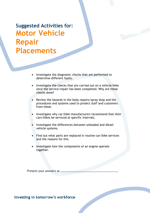#### **Suggested Activities for: Motor Vehicle Repair Placements**

- Investigate the diagnostic checks that are performed to determine different faults.
- Investigate the checks that are carried out on a vehicle/bike once the service/repair has been completed. Why are these checks done?
- Review the hazards in the body repairs/spray shop and the procedures and systems used to protect staff and customers from these.
- Investigate why car/bike manufacturers recommend that their cars/bikes be serviced at specific intervals.
- Investigate the differences between unleaded and diesel vehicle systems.
- Find out what parts are replaced in routine car/bike services and the reasons for this.
- Investigate how the components of an engine operate together.

Present your answers as ……………………………………………………………………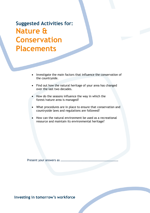<span id="page-27-0"></span>**Suggested Activities for: Nature & Conservation Placements** 

- Investigate the main factors that influence the conservation of the countryside.
- Find out how the natural heritage of your area has changed over the last two decades.
- How do the seasons influence the way in which the forest/nature area is managed?
- What procedures are in place to ensure that conservation and countryside laws and regulations are followed?
- How can the natural environment be used as a recreational resource and maintain its environmental heritage?

Present your answers as ……………………………………………………………………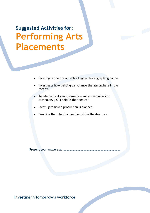# <span id="page-28-0"></span>**Suggested Activities for: Performing Arts Placements**

- Investigate the use of technology in choreographing dance.
- Investigate how lighting can change the atmosphere in the theatre.
- To what extent can information and communication technology (ICT) help in the theatre?
- Investigate how a production is planned.
- Describe the role of a member of the theatre crew.

Present your answers as ……………………………………………………………………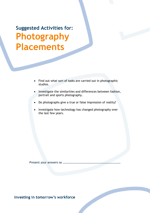<span id="page-29-0"></span>**Suggested Activities for: Photography Placements**

- Find out what sort of tasks are carried out in photographic studios.
- Investigate the similarities and differences between fashion, portrait and sports photography.
- Do photographs give a true or false impression of reality?
- Investigate how technology has changed photography over the last few years.

Present your answers as ……………………………………………………………………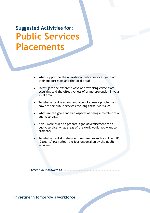<span id="page-30-0"></span>**Suggested Activities for: Public Services Placements**

- What support do the operational public services get from their support staff and the local area?
- Investigate the different ways of preventing crime from occurring and the effectiveness of crime prevention in your local area.
- To what extent are drug and alcohol abuse a problem and how are the public services tackling these two issues?
- What are the good and bad aspects of being a member of a public service?
- If you were asked to prepare a job advertisement for a public service, what areas of the work would you want to promote?
- To what extent do television programmes such as 'The Bill', 'Casualty' etc reflect the jobs undertaken by the public services?

Present your answers as ……………………………………………………………………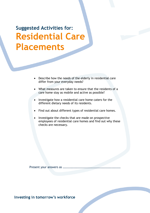**Suggested Activities for: Residential Care Placements**

- Describe how the needs of the elderly in residential care differ from your everyday needs?
- What measures are taken to ensure that the residents of a care home stay as mobile and active as possible?
- Investigate how a residential care home caters for the different dietary needs of its residents.
- Find out about different types of residential care homes.
- Investigate the checks that are made on prospective employees of residential care homes and find out why these checks are necessary.

Present your answers as ……………………………………………………………………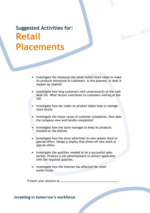#### <span id="page-32-0"></span>**Suggested Activities for: Retail Placements**

- Investigate the measures the retail outlet/store takes to make its products attractive to customers. Is this planned, or does it happen by chance?
- Investigate how long customers wait unnecessarily at the cash desk/till. What factors contribute to customers waiting at the till?
- Investigate how bar codes on product labels help to manage stock levels.
- Investigate the major cause of customer complaints. How does the company view and handle complaints?
- Investigate how the store manages to keep its products stocked on the shelves.
- Investigate how the store advertises its new season stock or special offers. Design a display that shows off new stock or special offers.
- Investigate the qualities needed to be a successful sales person. Produce a job advertisement to attract applicants with the required qualities.
- Investigate how the internet has affected the retail outlet/store.

Present your answers as ……………………………………………………………………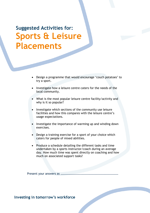<span id="page-33-0"></span>**Suggested Activities for: Sports & Leisure Placements** 

- Design a programme that would encourage 'couch potatoes' to try a sport.
- Investigate how a leisure centre caters for the needs of the local community.
- What is the most popular leisure centre facility/activity and why is it so popular?
- Investigate which sections of the community use leisure facilities and how this compares with the leisure centre's usage expectations.
- Investigate the importance of warming up and winding down exercises.
- Design a training exercise for a sport of your choice which caters for people of mixed abilities.
- Produce a schedule detailing the different tasks and time undertaken by a sports instructor/coach during an average day. How much time was spent directly on coaching and how much on associated support tasks?

Present your answers as ……………………………………………………………………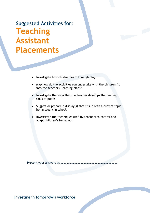#### <span id="page-34-0"></span>**Suggested Activities for: Teaching Assistant Placements**

- Investigate how children learn through play.
- Map how do the activities you undertake with the children fit into the teachers' learning plans?
- Investigate the ways that the teacher develops the reading skills of pupils.
- Suggest or prepare a display(s) that fits in with a current topic being taught in school.
- Investigate the techniques used by teachers to control and adapt children's behaviour.

Present your answers as ……………………………………………………………………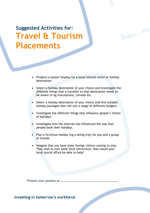<span id="page-35-0"></span>**Suggested Activities for: Travel & Tourism Placements** 

- Produce a poster/display for a local interest event or holiday destination.
- Select a holiday destination of your choice and investigate the different things that a traveller to that destination needs to be aware of eg inoculations, climate etc.
- Select a holiday destination of your choice and find suitable holiday packages that will suit a range of different budgets.
- Investigate the different things that influence people's choice of holidays.
- Investigate how the internet has influenced the way that people book their holidays.
- Plan a fictitious holiday (eg a skiing trip) for you and a group of friends.
- Imagine that you have some foreign visitors coming to stay. They wish to visit some local attractions. How would your local tourist office be able to help?

Present your answers as ……………………………………………………………………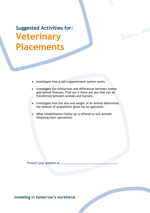<span id="page-36-0"></span>**Suggested Activities for: Veterinary Placements**

- Investigate how a vet's appointment system works.
- Investigate the similarities and differences between human and animal illnesses. Find out if there are any that can be transferred between animals and humans.
- Investigate how the size and weight of an animal determines the amount of anaesthetic given for an operation.
- What rehabilitation/follow up is offered to sick animals following their operations?

Present your answers as ……………………………………………………………………